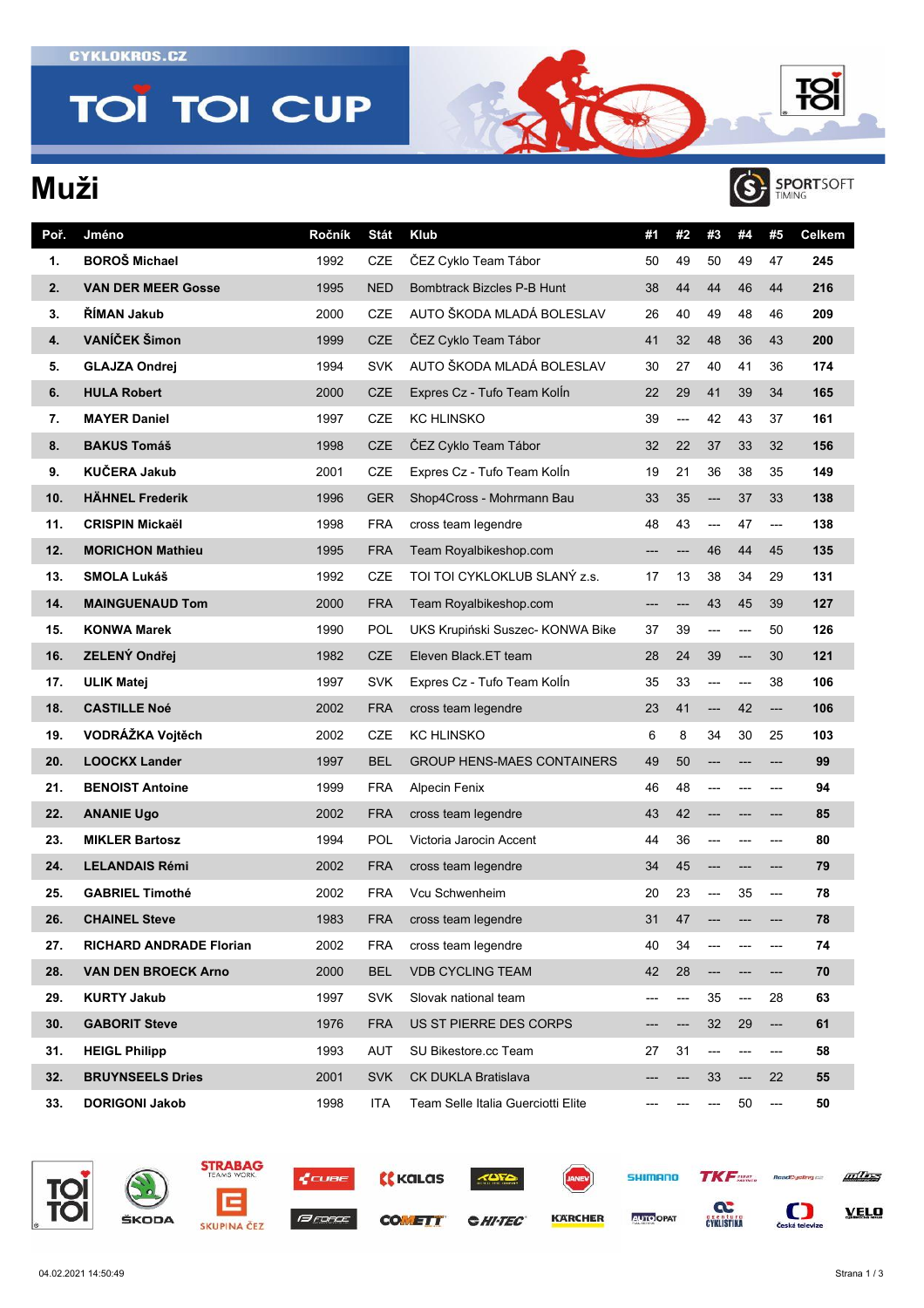**TOÏ TOI CUP** 

## **Muži**



**TO** 

| Poř. | Jméno                          | Ročník | <b>Stát</b> | Klub                               | #1  | #2  | #3  | #4    | #5  | Celkem |
|------|--------------------------------|--------|-------------|------------------------------------|-----|-----|-----|-------|-----|--------|
| 1.   | <b>BOROŠ Michael</b>           | 1992   | CZE         | ČEZ Cyklo Team Tábor               | 50  | 49  | 50  | 49    | 47  | 245    |
| 2.   | <b>VAN DER MEER Gosse</b>      | 1995   | NED         | Bombtrack Bizcles P-B Hunt         | 38  | 44  | 44  | 46    | 44  | 216    |
| 3.   | ŘÍMAN Jakub                    | 2000   | <b>CZE</b>  | AUTO ŠKODA MLADÁ BOLESLAV          | 26  | 40  | 49  | 48    | 46  | 209    |
| 4.   | VANÍČEK Šimon                  | 1999   | <b>CZE</b>  | ČEZ Cyklo Team Tábor               | 41  | 32  | 48  | 36    | 43  | 200    |
| 5.   | <b>GLAJZA Ondrej</b>           | 1994   | <b>SVK</b>  | AUTO ŠKODA MLADÁ BOLESLAV          | 30  | 27  | 40  | 41    | 36  | 174    |
| 6.   | <b>HULA Robert</b>             | 2000   | <b>CZE</b>  | Expres Cz - Tufo Team Kolln        | 22  | 29  | 41  | 39    | 34  | 165    |
| 7.   | <b>MAYER Daniel</b>            | 1997   | CZE         | <b>KC HLINSKO</b>                  | 39  | --- | 42  | 43    | 37  | 161    |
| 8.   | <b>BAKUS Tomáš</b>             | 1998   | <b>CZE</b>  | ČEZ Cyklo Team Tábor               | 32  | 22  | 37  | 33    | 32  | 156    |
| 9.   | <b>KUČERA Jakub</b>            | 2001   | CZE         | Expres Cz - Tufo Team Kolln        | 19  | 21  | 36  | 38    | 35  | 149    |
| 10.  | <b>HÄHNEL Frederik</b>         | 1996   | <b>GER</b>  | Shop4Cross - Mohrmann Bau          | 33  | 35  | --- | 37    | 33  | 138    |
| 11.  | <b>CRISPIN Mickaël</b>         | 1998   | <b>FRA</b>  | cross team legendre                | 48  | 43  | --- | 47    | --- | 138    |
| 12.  | <b>MORICHON Mathieu</b>        | 1995   | <b>FRA</b>  | Team Royalbikeshop.com             | --- | --- | 46  | 44    | 45  | 135    |
| 13.  | SMOLA Lukáš                    | 1992   | CZE         | TOI TOI CYKLOKLUB SLANÝ z.s.       | 17  | 13  | 38  | 34    | 29  | 131    |
| 14.  | <b>MAINGUENAUD Tom</b>         | 2000   | <b>FRA</b>  | Team Royalbikeshop.com             | --- | --- | 43  | 45    | 39  | 127    |
| 15.  | <b>KONWA Marek</b>             | 1990   | POL         | UKS Krupiński Suszec- KONWA Bike   | 37  | 39  | --- | ---   | 50  | 126    |
| 16.  | ZELENÝ Ondřej                  | 1982   | <b>CZE</b>  | Eleven Black.ET team               | 28  | 24  | 39  | $---$ | 30  | 121    |
| 17.  | <b>ULIK Matej</b>              | 1997   | <b>SVK</b>  | Expres Cz - Tufo Team Kolln        | 35  | 33  | --- | ---   | 38  | 106    |
| 18.  | <b>CASTILLE Noé</b>            | 2002   | <b>FRA</b>  | cross team legendre                | 23  | 41  | --- | 42    | --- | 106    |
| 19.  | VODRÁŽKA Vojtěch               | 2002   | CZE         | <b>KC HLINSKO</b>                  | 6   | 8   | 34  | 30    | 25  | 103    |
| 20.  | <b>LOOCKX Lander</b>           | 1997   | <b>BEL</b>  | <b>GROUP HENS-MAES CONTAINERS</b>  | 49  | 50  |     |       |     | 99     |
| 21.  | <b>BENOIST Antoine</b>         | 1999   | <b>FRA</b>  | <b>Alpecin Fenix</b>               | 46  | 48  | --- |       | --- | 94     |
| 22.  | <b>ANANIE Ugo</b>              | 2002   | <b>FRA</b>  | cross team legendre                | 43  | 42  |     |       | --- | 85     |
| 23.  | <b>MIKLER Bartosz</b>          | 1994   | POL         | Victoria Jarocin Accent            | 44  | 36  | --- |       | --- | 80     |
| 24.  | <b>LELANDAIS Rémi</b>          | 2002   | <b>FRA</b>  | cross team legendre                | 34  | 45  | --- |       | --- | 79     |
| 25.  | <b>GABRIEL Timothé</b>         | 2002   | <b>FRA</b>  | Vcu Schwenheim                     | 20  | 23  |     | 35    | --- | 78     |
| 26.  | <b>CHAINEL Steve</b>           | 1983   | <b>FRA</b>  | cross team legendre                | 31  | 47  |     |       |     | 78     |
| 27.  | <b>RICHARD ANDRADE Florian</b> | 2002   | FRA         | cross team legendre                | 40  | 34  |     |       | --- | 74     |
| 28.  | <b>VAN DEN BROECK Arno</b>     | 2000   | <b>BEL</b>  | <b>VDB CYCLING TEAM</b>            | 42  | 28  | --- |       | --- | 70     |
| 29.  | <b>KURTY Jakub</b>             | 1997   | <b>SVK</b>  | Slovak national team               | --- | --- | 35  | $---$ | 28  | 63     |
| 30.  | <b>GABORIT Steve</b>           | 1976   | <b>FRA</b>  | US ST PIERRE DES CORPS             | --- | --- | 32  | 29    | --- | 61     |
| 31.  | <b>HEIGL Philipp</b>           | 1993   | AUT         | SU Bikestore.cc Team               | 27  | 31  | --- |       | --- | 58     |
| 32.  | <b>BRUYNSEELS Dries</b>        | 2001   | <b>SVK</b>  | <b>CK DUKLA Bratislava</b>         |     |     | 33  | ---   | 22  | 55     |
| 33.  | <b>DORIGONI Jakob</b>          | 1998   | <b>ITA</b>  | Team Selle Italia Guerciotti Elite |     |     | --- | 50    | --- | 50     |





ŠKODA







**CHI-TEC** 



**KARCHER** 

**SHIMANO TKF CYKLISTIKA** 

**AUTO OPAT** 



 $\sum_{\text{Ceská televize}}$ 

**VELO**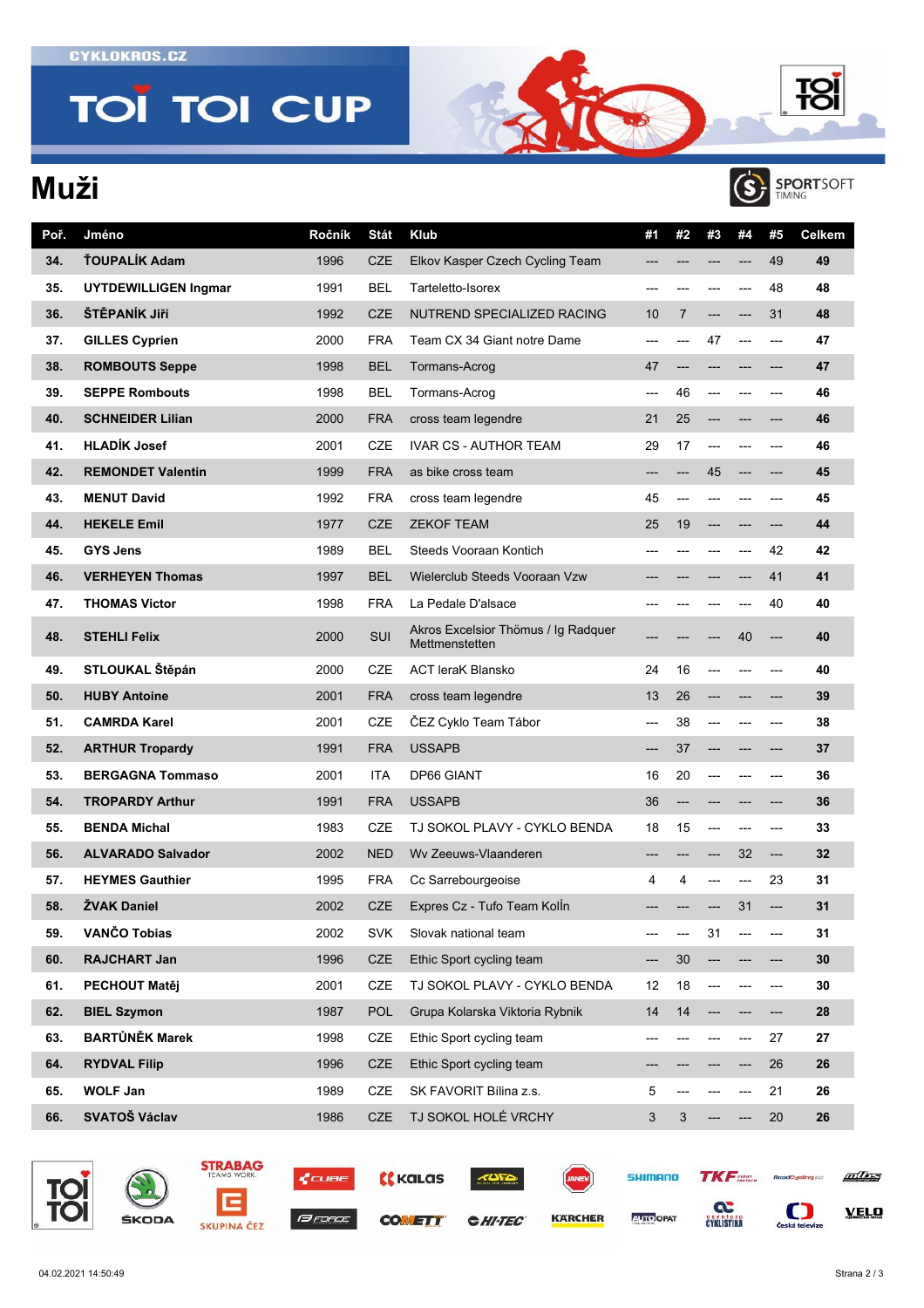**TOI TOI CUP** 

## **Muži**



**TO** 

| Poř. | Jméno                       | Ročník | <b>Stát</b> | <b>Klub</b>                                           | #1    | #2 | #3  | #4  | #5    | Celkem |
|------|-----------------------------|--------|-------------|-------------------------------------------------------|-------|----|-----|-----|-------|--------|
| 34.  | ŤOUPALÍK Adam               | 1996   | <b>CZE</b>  | Elkov Kasper Czech Cycling Team                       |       |    |     |     | 49    | 49     |
| 35.  | <b>UYTDEWILLIGEN Ingmar</b> | 1991   | <b>BEL</b>  | Tarteletto-Isorex                                     |       |    |     | --- | 48    | 48     |
| 36.  | ŠTĚPANÍK Jiří               | 1992   | <b>CZE</b>  | NUTREND SPECIALIZED RACING                            | 10    | 7  |     | --- | 31    | 48     |
| 37.  | <b>GILLES Cyprien</b>       | 2000   | FRA         | Team CX 34 Giant notre Dame                           | ---   |    | 47  | --- | $---$ | 47     |
| 38.  | <b>ROMBOUTS Seppe</b>       | 1998   | <b>BEL</b>  | Tormans-Acrog                                         | 47    |    |     |     | $---$ | 47     |
| 39.  | <b>SEPPE Rombouts</b>       | 1998   | BEL         | Tormans-Acrog                                         | $---$ | 46 |     |     | ---   | 46     |
| 40.  | <b>SCHNEIDER Lilian</b>     | 2000   | <b>FRA</b>  | cross team legendre                                   | 21    | 25 |     |     |       | 46     |
| 41.  | <b>HLADÍK Josef</b>         | 2001   | CZE         | <b>IVAR CS - AUTHOR TEAM</b>                          | 29    | 17 |     |     |       | 46     |
| 42.  | <b>REMONDET Valentin</b>    | 1999   | <b>FRA</b>  | as bike cross team                                    |       |    | 45  | --- |       | 45     |
| 43.  | <b>MENUT David</b>          | 1992   | FRA         | cross team legendre                                   | 45    |    |     | --- | $---$ | 45     |
| 44.  | <b>HEKELE Emil</b>          | 1977   | <b>CZE</b>  | <b>ZEKOF TEAM</b>                                     | 25    | 19 |     |     | $---$ | 44     |
| 45.  | <b>GYS Jens</b>             | 1989   | <b>BEL</b>  | Steeds Vooraan Kontich                                |       |    |     |     | 42    | 42     |
| 46.  | <b>VERHEYEN Thomas</b>      | 1997   | <b>BEL</b>  | Wielerclub Steeds Vooraan Vzw                         |       |    |     |     | 41    | 41     |
| 47.  | <b>THOMAS Victor</b>        | 1998   | FRA         | La Pedale D'alsace                                    |       |    |     |     | 40    | 40     |
| 48.  | <b>STEHLI Felix</b>         | 2000   | SUI         | Akros Excelsior Thömus / Iq Radquer<br>Mettmenstetten |       |    |     | 40  | ---   | 40     |
| 49.  | STLOUKAL Štěpán             | 2000   | CZE         | <b>ACT leraK Blansko</b>                              | 24    | 16 |     |     |       | 40     |
| 50.  | <b>HUBY Antoine</b>         | 2001   | <b>FRA</b>  | cross team legendre                                   | 13    | 26 |     |     |       | 39     |
| 51.  | <b>CAMRDA Karel</b>         | 2001   | CZE         | ČEZ Cyklo Team Tábor                                  | ---   | 38 |     |     | ---   | 38     |
| 52.  | <b>ARTHUR Tropardy</b>      | 1991   | <b>FRA</b>  | <b>USSAPB</b>                                         | ---   | 37 |     |     |       | 37     |
| 53.  | <b>BERGAGNA Tommaso</b>     | 2001   | ITA         | <b>DP66 GIANT</b>                                     | 16    | 20 |     | --- | $---$ | 36     |
| 54.  | <b>TROPARDY Arthur</b>      | 1991   | <b>FRA</b>  | <b>USSAPB</b>                                         | 36    |    |     |     |       | 36     |
| 55.  | <b>BENDA Michal</b>         | 1983   | CZE         | TJ SOKOL PLAVY - CYKLO BENDA                          | 18    | 15 |     |     | ---   | 33     |
| 56.  | <b>ALVARADO Salvador</b>    | 2002   | <b>NED</b>  | Wy Zeeuws-Vlaanderen                                  |       |    |     | 32  | ---   | 32     |
| 57.  | <b>HEYMES Gauthier</b>      | 1995   | FRA         | Cc Sarrebourgeoise                                    | 4     | 4  |     | --- | 23    | 31     |
| 58.  | <b>ŻVAK Daniel</b>          | 2002   | CZE         | Expres Cz - Tufo Team Kolln                           |       |    |     | 31  | ---   | 31     |
| 59.  | VANČO Tobias                | 2002   | <b>SVK</b>  | Slovak national team                                  |       |    | 31  |     |       | 31     |
| 60.  | RAJCHART Jan                | 1996   | CZE         | Ethic Sport cycling team                              |       | 30 |     |     |       | 30     |
| 61.  | PECHOUT Matěj               | 2001   | CZE         | TJ SOKOL PLAVY - CYKLO BENDA                          | 12    | 18 |     |     | ---   | 30     |
| 62.  | <b>BIEL Szymon</b>          | 1987   | <b>POL</b>  | Grupa Kolarska Viktoria Rybnik                        | 14    | 14 | --- |     | ---   | 28     |
| 63.  | <b>BARTŮNĚK Marek</b>       | 1998   | CZE         | Ethic Sport cycling team                              | ---   |    |     | --- | 27    | 27     |
| 64.  | <b>RYDVAL Filip</b>         | 1996   | <b>CZE</b>  | Ethic Sport cycling team                              |       |    |     | --- | 26    | 26     |
| 65.  | <b>WOLF Jan</b>             | 1989   | CZE         | SK FAVORIT Bílina z.s.                                | 5     |    |     | --- | 21    | 26     |
| 66.  | SVATOŠ Václav               | 1986   | CZE         | TJ SOKOL HOLÉ VRCHY                                   | 3     | 3  |     | --- | 20    | 26     |











**CHI-TEC** 



**KARCHER** 



**AUTO OPAT** 

**CYKLISTIKA** 



 $\sum_{\text{Ceská televize}}$ 

**VELO**